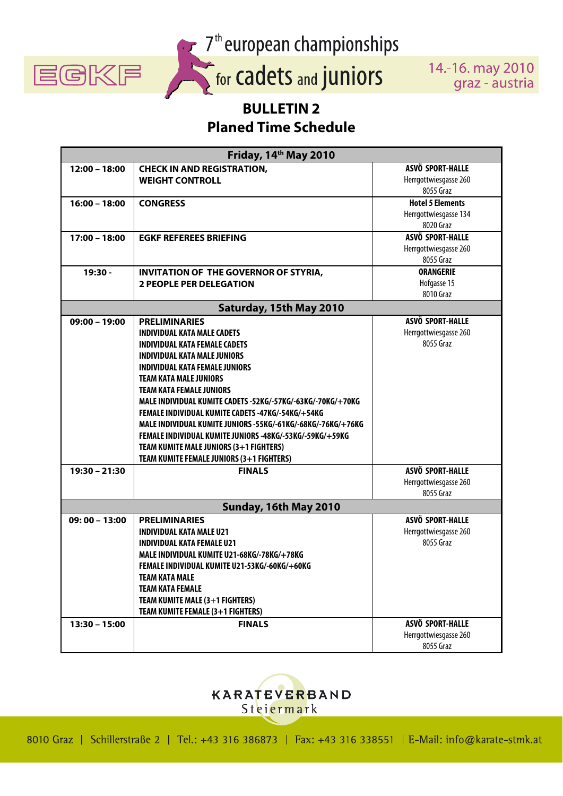

7<sup>th</sup> european championships

14 .- 16. may 2010 graz - austria

## **BULLETIN 2 Planed Time Schedule**

| Friday, 14th May 2010   |                                                              |                         |
|-------------------------|--------------------------------------------------------------|-------------------------|
| $12:00 - 18:00$         | <b>CHECK IN AND REGISTRATION,</b>                            | ASVÖ SPORT-HALLE        |
|                         | <b>WEIGHT CONTROLL</b>                                       | Herrgottwiesgasse 260   |
|                         |                                                              | 8055 Graz               |
| $16:00 - 18:00$         | <b>CONGRESS</b>                                              | <b>Hotel 5 Elements</b> |
|                         |                                                              | Herrgottwiesgasse 134   |
|                         |                                                              | 8020 Graz               |
| $17:00 - 18:00$         | <b>EGKF REFEREES BRIEFING</b>                                | ASVÖ SPORT-HALLE        |
|                         |                                                              | Herrgottwiesgasse 260   |
|                         |                                                              | 8055 Graz               |
| 19:30 -                 | <b>INVITATION OF THE GOVERNOR OF STYRIA,</b>                 | <b>ORANGERIE</b>        |
|                         | <b>2 PEOPLE PER DELEGATION</b>                               | Hofgasse 15             |
|                         |                                                              | 8010 Graz               |
| Saturday, 15th May 2010 |                                                              |                         |
| $09:00 - 19:00$         | <b>PRELIMINARIES</b>                                         | ASVÖ SPORT-HALLE        |
|                         | <b>INDIVIDUAL KATA MALE CADETS</b>                           | Herrgottwiesgasse 260   |
|                         | <b>INDIVIDUAL KATA FEMALE CADETS</b>                         | 8055 Graz               |
|                         | <b>INDIVIDUAL KATA MALE JUNIORS</b>                          |                         |
|                         | <b>INDIVIDUAL KATA FEMALE JUNIORS</b>                        |                         |
|                         | <b>TEAM KATA MALE JUNIORS</b>                                |                         |
|                         | <b>TEAM KATA FEMALE JUNIORS</b>                              |                         |
|                         | MALE INDIVIDUAL KUMITE CADETS -52KG/-57KG/-63KG/-70KG/+70KG  |                         |
|                         | FEMALE INDIVIDUAL KUMITE CADETS -47KG/-54KG/+54KG            |                         |
|                         | MALE INDIVIDUAL KUMITE JUNIORS -55KG/-61KG/-68KG/-76KG/+76KG |                         |
|                         | FEMALE INDIVIDUAL KUMITE JUNIORS -48KG/-53KG/-59KG/+59KG     |                         |
|                         | TEAM KUMITE MALE JUNIORS (3+1 FIGHTERS)                      |                         |
|                         | TEAM KUMITE FEMALE JUNIORS (3+1 FIGHTERS)                    |                         |
| $19:30 - 21:30$         | <b>FINALS</b>                                                | ASVÖ SPORT-HALLE        |
|                         |                                                              | Herrgottwiesgasse 260   |
|                         |                                                              | 8055 Graz               |
| Sunday, 16th May 2010   |                                                              |                         |
| $09:00 - 13:00$         | <b>PRELIMINARIES</b>                                         | ASVÖ SPORT-HALLE        |
|                         | <b>INDIVIDUAL KATA MALE U21</b>                              | Herrgottwiesgasse 260   |
|                         | <b>INDIVIDUAL KATA FEMALE U21</b>                            | 8055 Graz               |
|                         | MALE INDIVIDUAL KUMITE U21-68KG/-78KG/+78KG                  |                         |
|                         | FEMALE INDIVIDUAL KUMITE U21-53KG/-60KG/+60KG                |                         |
|                         | <b>TEAM KATA MALE</b>                                        |                         |
|                         | <b>TEAM KATA FEMALE</b>                                      |                         |
|                         | TEAM KUMITE MALE (3+1 FIGHTERS)                              |                         |
|                         |                                                              |                         |
|                         | TEAM KUMITE FEMALE (3+1 FIGHTERS)                            | ASVÖ SPORT-HALLE        |
| $13:30 - 15:00$         | <b>FINALS</b>                                                |                         |
|                         |                                                              | Herrgottwiesgasse 260   |
|                         |                                                              | 8055 Graz               |